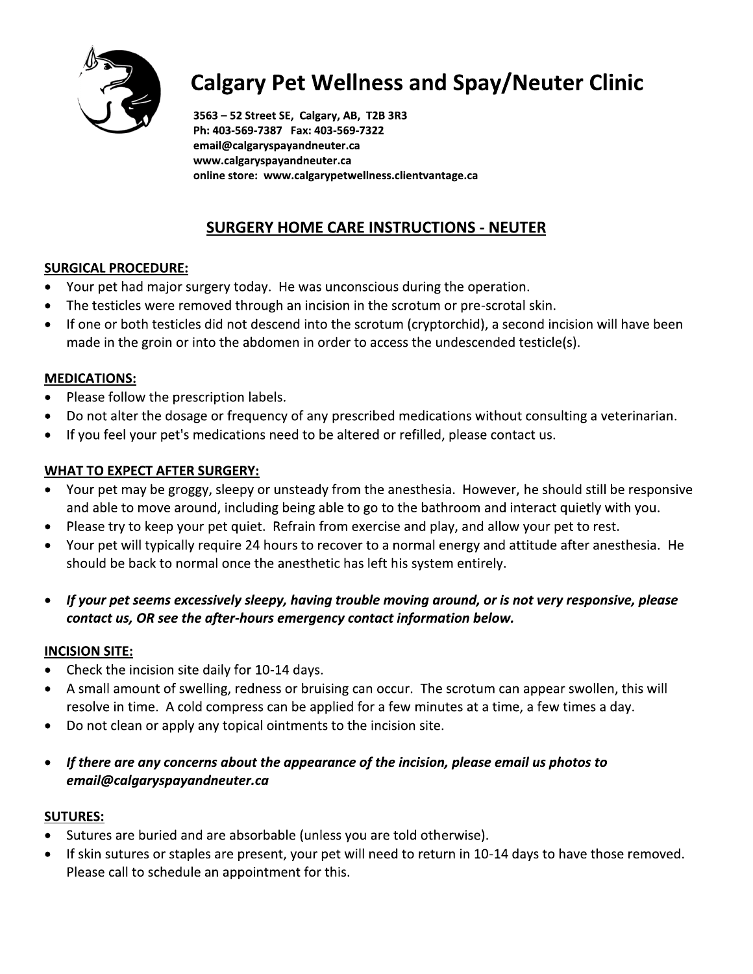

# Calgary Pet Wellness and Spay/Neuter Clinic

3563 - 52 Street SE, Calgary, AB, T2B 3R3 Ph: 403-569-7387 Fax: 403-569-7322 email@calgaryspayandneuter.ca www.calgaryspayandneuter.ca<br>online store: www.calgarypetwellness.clientvantage.ca

## <u> SURGERY HOME CARE INSTRUCTIONS - NEUTER</u>

- 
- 
- ENTRIMENTATIONS NEUTER<br>
WWW.calgaryspayandneuter.ca<br>
online store: www.calgarypetwellness.clientvantage.ca<br>
SURGICAL PROCEDURE:<br>
 Your pet had major surgery today. He was unconscious during the operation.<br>
 The testicl

- **MEDICATIONS:**<br>• Please follow the prescription labels.
- 
- 

- 9/ Your pet had major surgery today. He was unconscious during the operation.<br>
9. The testicles were removed through an incision in the scrotum or pre-scrotal skin.<br>
9. If one or both testicles did not descend into the scr **WHAT TO EXPECT AFTER SURGERY:**<br>• Your pet may be groggy, sleepy or unsteady from the anesthesia. However, he should still be responsive **MEDICATIONS:**<br>
• Please follow the prescription labels.<br>
• Do not alter the dosage or frequency of any prescribed medications without consulting a veterinarian.<br>
• If you feel your pet's medications need to be altered or
	-
	-
	- If your pet seems excessively sleepy, having trouble moving around, or is not very responsive, please contact us, OR see the after-hours emergency contact information below.

- 
- Hease try to keep yout bet quett: retrim introduct exact saint point and the between the should be back to normal once the anesthetic has left his system entirely.<br>
 *If your pet seems excessively sleepy, having trouble*
- 
- If there are any concerns about the appearance of the incision, please email us photos to email@calqaryspayandneuter.ca

- 
- F exolve in time. A cold compress can be applied for a few minutes at a time, a few times a day.<br>
 Do not clean or apply any topical ointments to the incision site.<br>
 If there are any concerns about the appearance of the